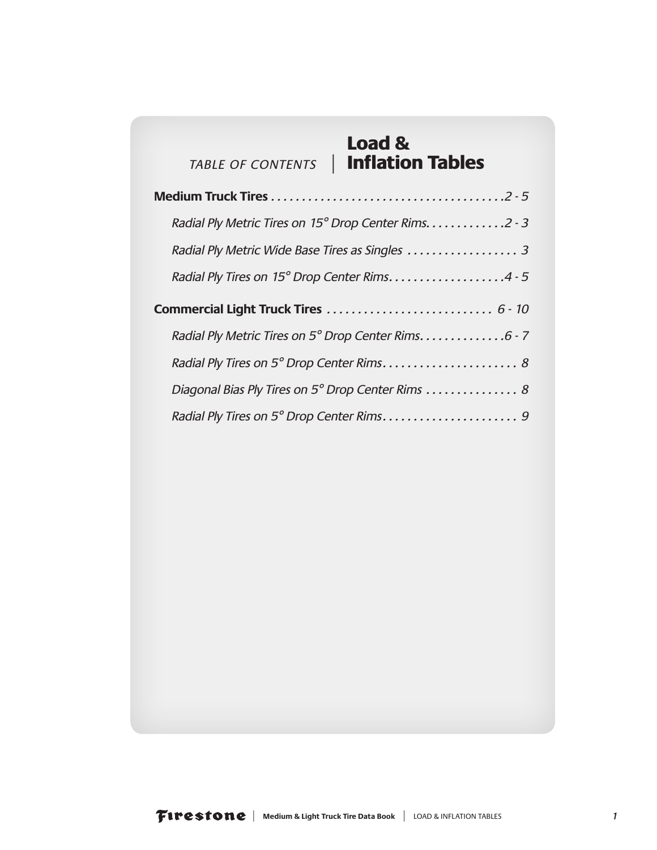#### Load & *TABLE OF CONTENTS* | Inflation Tables

| Radial Ply Metric Tires on 15° Drop Center Rims. 2 - 3 |
|--------------------------------------------------------|
| Radial Ply Metric Wide Base Tires as Singles  3        |
| Radial Ply Tires on 15° Drop Center Rims4 - 5          |
|                                                        |
| Radial Ply Metric Tires on 5° Drop Center Rims. 6 - 7  |
|                                                        |
| Diagonal Bias Ply Tires on 5° Drop Center Rims  8      |
|                                                        |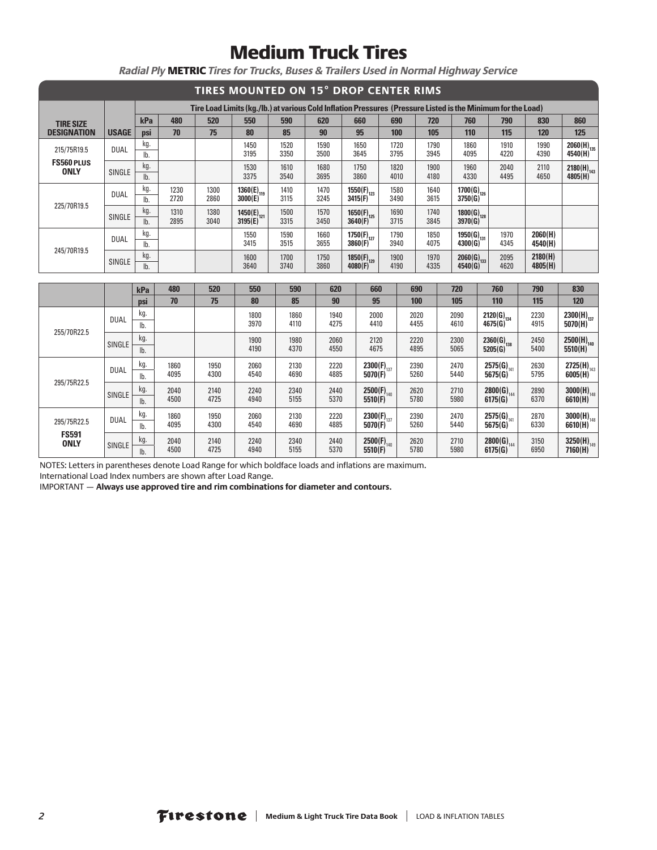|                                  |              |                        |              |              | TIRES MOUNTED ON 15° DROP CENTER RIMS |              |              |         |                            |              |              |                            |                                                                                                              |                    |                                   |
|----------------------------------|--------------|------------------------|--------------|--------------|---------------------------------------|--------------|--------------|---------|----------------------------|--------------|--------------|----------------------------|--------------------------------------------------------------------------------------------------------------|--------------------|-----------------------------------|
|                                  |              |                        |              |              |                                       |              |              |         |                            |              |              |                            | Tire Load Limits (kg./lb.) at various Cold Inflation Pressures (Pressure Listed is the Minimum for the Load) |                    |                                   |
| <b>TIRE SIZE</b>                 |              | kPa                    | 480          | 520          | 550                                   | 590          | 620          |         | 660                        | 690          | 720          | 760                        | 790                                                                                                          | 830                | 860                               |
| <b>DESIGNATION</b>               | <b>USAGE</b> | <b>psi</b>             | 70           | 75           | 80                                    | 85           | 90           | 95      |                            | 100          | 105          | 110                        | 115                                                                                                          | 120                | 125                               |
| 215/75R19.5                      | <b>DUAL</b>  | kg.<br>lb.             |              |              | 1450<br>3195                          | 1520<br>3350 | 1590<br>3500 | 3645    | 1650                       | 1720<br>3795 | 1790<br>3945 | 1860<br>4095               | 1910<br>4220                                                                                                 | 1990<br>4390       | $2060(H)_{135}$<br>4540(H)        |
| <b>FS560 PLUS</b><br><b>ONLY</b> | SINGLE       | kg.<br>lb.             |              |              | 1530<br>3375                          | 1610<br>3540 | 1680<br>3695 | 3860    | 1750                       | 1820<br>4010 | 1900<br>4180 | 1960<br>4330               | 2040<br>4495                                                                                                 | 2110<br>4650       | $2180(H)_{143}$<br>4805(H)        |
|                                  | <b>DUAL</b>  | kg.<br>lb.             | 1230<br>2720 | 1300<br>2860 | $1360(E)_{119}$<br>3000(E)            | 1410<br>3115 | 1470<br>3245 | 3415(F) | $1550(F)_{123}$            | 1580<br>3490 | 1640<br>3615 | $1700(G)_{126}$<br>3750(G) |                                                                                                              |                    |                                   |
| 225/70R19.5                      | SINGLE       | kg.<br>I <sub>b</sub>  | 1310<br>2895 | 1380<br>3040 | $1450(E)_{121}$<br>3195(E)            | 1500<br>3315 | 1570<br>3450 | 3640(F) | $1650(F)_{125}$            | 1690<br>3715 | 1740<br>3845 | $1800(G)_{128}$<br>3970(G) |                                                                                                              |                    |                                   |
| 245/70R19.5                      | <b>DUAL</b>  | kg.<br>$\mathsf{lb}$ . |              |              | 1550<br>3415                          | 1590<br>3515 | 1660<br>3655 |         | $1750(F)_{127}$<br>3860(F) | 1790<br>3940 | 1850<br>4075 | $1950(G)_{131}$<br>4300(G) | 1970<br>4345                                                                                                 | 2060(H)<br>4540(H) |                                   |
|                                  | SINGLE       | kg.<br>lb.             |              |              | 1600<br>3640                          | 1700<br>3740 | 1750<br>3860 | 4080(F) | $1850(F)_{129}$            | 1900<br>4190 | 1970<br>4335 | $2060(G)_{133}$<br>4540(G) | 2095<br>4620                                                                                                 | 2180(H)<br>4805(H) |                                   |
|                                  |              |                        |              |              |                                       |              |              |         |                            |              |              |                            |                                                                                                              |                    |                                   |
|                                  |              | kPa                    | 480<br>70    | 520<br>75    | 550<br>80                             | 590<br>85    | 620<br>90    |         | 660<br>95                  |              | 690          | 720                        | 760                                                                                                          | 790                | 830<br>120                        |
|                                  |              | psi<br>kg.             |              |              |                                       |              |              |         |                            |              | 100          | 105                        | 110                                                                                                          | 115                |                                   |
|                                  | <b>DUAL</b>  | lb.                    |              |              | 1800<br>3970                          | 1860<br>4110 | 1940<br>4275 |         | 2000<br>4410               |              | 2020<br>4455 | 2090<br>4610               | $2120(G)_{134}$<br>4675(G)                                                                                   | 2230<br>4915       | $2300(H)_{137}$<br>5070(H)        |
| 255/70R22.5                      |              | kg.                    |              |              | 1900                                  | 1980         | 2060         |         | 2120                       |              | 2220         | 2300                       | $2360(G)_{138}$                                                                                              | 2450               |                                   |
|                                  | SINGLE       | lb.                    |              |              | 4190                                  | 4370         | 4550         |         | 4675                       |              | 4895         | 5065                       | 5205(G)                                                                                                      | 5400               | 2500(H) <sub>140</sub><br>5510(H) |
|                                  |              | kg.                    | 1860         | 1950         | 2060                                  | 2130         | 2220         |         | $2300(F)_{137}$            |              | 2390         | 2470                       | $2575(G)_{141}$                                                                                              | 2630               | $2725(H)_{143}$                   |
| 295/75R22.5                      | <b>DUAL</b>  | lb.                    | 4095         | 4300         | 4540                                  | 4690         | 4885         |         | 5070(F)                    |              | 5260         | 5440                       | 5675(G)                                                                                                      | 5795               | $6005(H)^{14}$                    |
|                                  | SINGLE       | kg.                    | 2040         | 2140         | 2240                                  | 2340         | 2440         |         | $2500(F)_{140}$            |              | 2620         | 2710                       | $2800(G)_{144}$                                                                                              | 2890               | $3000(H)_{148}$                   |
|                                  |              | lb.                    | 4500         | 4725         | 4940                                  | 5155         | 5370         |         | 5510(F)                    |              | 5780         | 5980                       | 6175(G)                                                                                                      | 6370               | 6610(H)                           |
| 295/75R22.5                      | <b>DUAL</b>  | kg.<br>lb.             | 1860<br>4095 | 1950<br>4300 | 2060<br>4540                          | 2130<br>4690 | 2220<br>4885 |         | $2300(F)_{137}$<br>5070(F) |              | 2390<br>5260 | 2470<br>5440               | $2575(G)_{141}$<br>5675(G)                                                                                   | 2870<br>6330       | $3000(H)_{148}$<br>6610(H)        |

*Radial Ply* METRIC *Tires for Trucks, Buses & Trailers Used in Normal Highway Service*

NOTES: Letters in parentheses denote Load Range for which boldface loads and inflations are maximum.

      2500(F)<sub>140</sub><br>5510(F)

K<u>g.</u> 2040 | 2140 | 2240 | 2340 | 2440 | **2500(F)<sub>140</sub> | 2**620 | 2710 | **2800(G)**<sub>144</sub> | 3150 | **3250(H)**<sub>149</sub><br>|b. 4500 | 4725 | 4940 | 5155 | 5370 | **5510(F)** | 5780 | 5980 | **6175(G)** | 6950 | **7160(H)** 

 

 

**2800(G)**<sup>144</sup> **6175(G)**

 

International Load Index numbers are shown after Load Range.

SINGLE  $\begin{array}{|c|c|c|c|}\n\hline\n\text{B} & \text{2040} \\
\hline\n\text{lb.} & \text{4500}\n\end{array}$ 

**FS591 ONLY**

IMPORTANT — **Always use approved tire and rim combinations for diameter and contours.**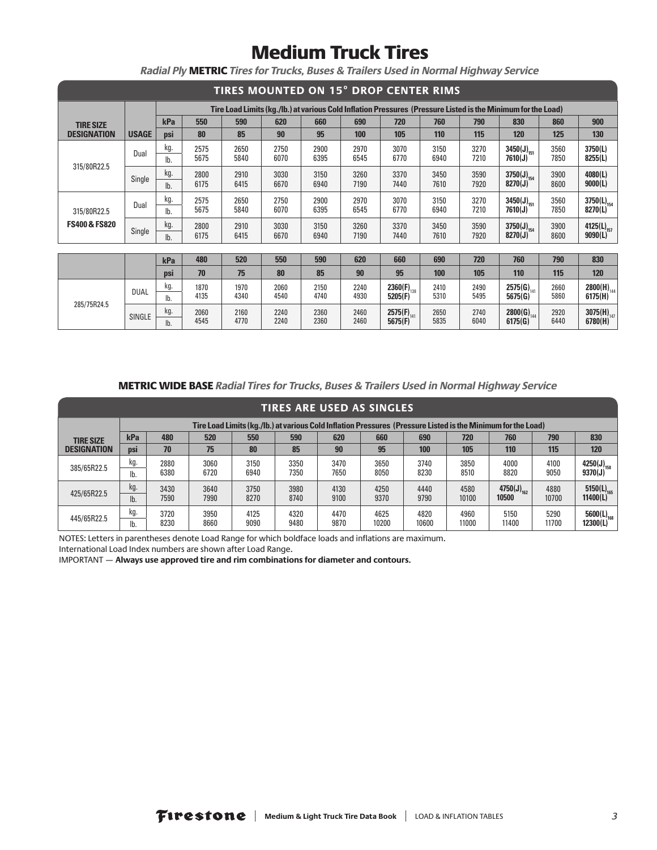| <b>TIRES MOUNTED ON 15° DROP CENTER RIMS</b> |              |     |      |      |      |      |      |                                                                                                              |      |      |                 |      |                        |
|----------------------------------------------|--------------|-----|------|------|------|------|------|--------------------------------------------------------------------------------------------------------------|------|------|-----------------|------|------------------------|
|                                              |              |     |      |      |      |      |      | Tire Load Limits (kg./lb.) at various Cold Inflation Pressures (Pressure Listed is the Minimum for the Load) |      |      |                 |      |                        |
| <b>TIRE SIZE</b>                             |              | kPa | 550  | 590  | 620  | 660  | 690  | 720                                                                                                          | 760  | 790  | 830             | 860  | 900                    |
| <b>DESIGNATION</b>                           | <b>USAGE</b> | psi | 80   | 85   | 90   | 95   | 100  | 105                                                                                                          | 110  | 115  | 120             | 125  | 130                    |
|                                              | Dual         | kg. | 2575 | 2650 | 2750 | 2900 | 2970 | 3070                                                                                                         | 3150 | 3270 | $3450(J)_{151}$ | 3560 | 3750(L)                |
| 315/80R22.5                                  |              | lb. | 5675 | 5840 | 6070 | 6395 | 6545 | 6770                                                                                                         | 6940 | 7210 | 7610(J)         | 7850 | 8255(L)                |
|                                              | Single       | kg. | 2800 | 2910 | 3030 | 3150 | 3260 | 3370                                                                                                         | 3450 | 3590 | $3750(J)_{154}$ | 3900 | 4080(L)                |
|                                              |              | lb. | 6175 | 6415 | 6670 | 6940 | 7190 | 7440                                                                                                         | 7610 | 7920 | 8270(J)         | 8600 | 9000(L)                |
|                                              | Dual         | kg. | 2575 | 2650 | 2750 | 2900 | 2970 | 3070                                                                                                         | 3150 | 3270 | $3450(J)_{151}$ | 3560 | $3750(L)_{154}$        |
| 315/80R22.5                                  |              | lb. | 5675 | 5840 | 6070 | 6395 | 6545 | 6770                                                                                                         | 6940 | 7210 | 7610(J)         | 7850 | 8270(L)                |
| <b>FS400 &amp; FS820</b>                     | Single       | kg. | 2800 | 2910 | 3030 | 3150 | 3260 | 3370                                                                                                         | 3450 | 3590 | $3750(J)_{154}$ | 3900 | 4125(L) <sub>157</sub> |
|                                              |              | lb. | 6175 | 6415 | 6670 | 6940 | 7190 | 7440                                                                                                         | 7610 | 7920 | 8270(J)         | 8600 | 9090(L)                |
|                                              |              |     |      |      |      |      |      |                                                                                                              |      |      |                 |      |                        |
|                                              |              | kPa | 480  | 520  | 550  | 590  | 620  | 660                                                                                                          | 690  | 720  | 760             | 790  | 830                    |
|                                              |              | psi | 70   | 75   | 80   | 85   | 90   | 95                                                                                                           | 100  | 105  | 110             | 115  | 120                    |
|                                              | <b>DUAL</b>  | kg. | 1870 | 1970 | 2060 | 2150 | 2240 | 2360(F) $_{138}$                                                                                             | 2410 | 2490 | $2575(G)_{141}$ | 2660 | $2800(H)_{144}$        |
| 285/75R24.5                                  |              | lb. | 4135 | 4340 | 4540 | 4740 | 4930 | 5205(F)                                                                                                      | 5310 | 5495 | 5675(G)         | 5860 | 6175(H)                |
|                                              | SINGLE       | kg. | 2060 | 2160 | 2240 | 2360 | 2460 | 2575(F) <sub>141</sub>                                                                                       | 2650 | 2740 | $2800(G)_{144}$ | 2920 | 3075(H) <sub>147</sub> |
|                                              |              | lb. | 4545 | 4770 | 2240 | 2360 | 2460 | 5675(F)                                                                                                      | 5835 | 6040 | 6175(G)         | 6440 | 6780(H)                |

*Radial Ply* METRIC *Tires for Trucks, Buses & Trailers Used in Normal Highway Service*

METRIC WIDE BASE *Radial Tires for Trucks, Buses & Trailers Used in Normal Highway Service*

|                    | TIRES ARE USED AS SINGLES |                                                                                                              |      |      |      |      |       |       |       |                        |       |                        |  |  |  |
|--------------------|---------------------------|--------------------------------------------------------------------------------------------------------------|------|------|------|------|-------|-------|-------|------------------------|-------|------------------------|--|--|--|
|                    |                           | Tire Load Limits (kg./lb.) at various Cold Inflation Pressures (Pressure Listed is the Minimum for the Load) |      |      |      |      |       |       |       |                        |       |                        |  |  |  |
| <b>TIRE SIZE</b>   | kPa                       | 830<br>480<br>520<br>550<br>590<br>620<br>660<br>760<br>690<br>720<br>790                                    |      |      |      |      |       |       |       |                        |       |                        |  |  |  |
| <b>DESIGNATION</b> | <b>DSI</b>                | 70                                                                                                           | 75   | 80   | 85   | 90   | 95    | 100   | 105   | 110                    | 115   | 120                    |  |  |  |
| 385/65R22.5        | kg.                       | 2880                                                                                                         | 3060 | 3150 | 3350 | 3470 | 3650  | 3740  | 3850  | 4000                   | 4100  | 4250(J) <sub>158</sub> |  |  |  |
|                    | lb.                       | 6380                                                                                                         | 6720 | 6940 | 7350 | 7650 | 8050  | 8230  | 8510  | 8820                   | 9050  | 9370(J)                |  |  |  |
|                    | kg.                       | 3430                                                                                                         | 3640 | 3750 | 3980 | 4130 | 4250  | 4440  | 4580  | 4750(J) <sub>162</sub> | 4880  | $5150(L)_{165}$        |  |  |  |
| 425/65R22.5        | lb.                       | 7590                                                                                                         | 7990 | 8270 | 8740 | 9100 | 9370  | 9790  | 10100 | 10500                  | 10700 | 11400(L)               |  |  |  |
|                    | kg.                       | 3720                                                                                                         | 3950 | 4125 | 4320 | 4470 | 4625  | 4820  | 4960  | 5150                   | 5290  | $5600(L)_{168}$        |  |  |  |
| 445/65R22.5        | lb.                       | 8230                                                                                                         | 8660 | 9090 | 9480 | 9870 | 10200 | 10600 | 11000 | 11400                  | 11700 | 12300(L)               |  |  |  |

NOTES: Letters in parentheses denote Load Range for which boldface loads and inflations are maximum.

International Load Index numbers are shown after Load Range.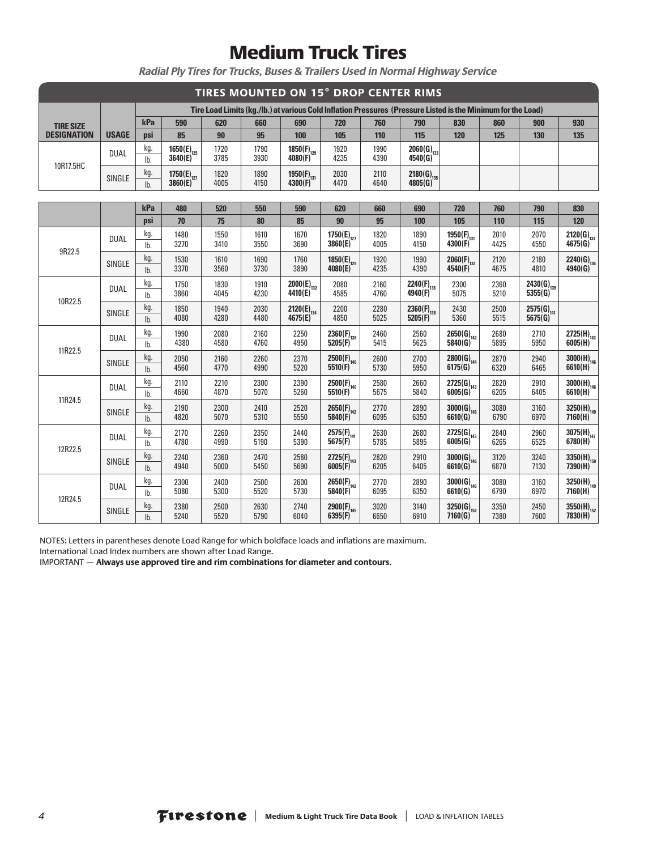|                    |               |            |                                   |              |              | TIRES MOUNTED ON 15° DROP CENTER RIMS                                                                        |                            |              |                             |                             |              |                            |                            |
|--------------------|---------------|------------|-----------------------------------|--------------|--------------|--------------------------------------------------------------------------------------------------------------|----------------------------|--------------|-----------------------------|-----------------------------|--------------|----------------------------|----------------------------|
|                    |               |            |                                   |              |              | Tire Load Limits (kg./lb.) at various Cold Inflation Pressures (Pressure Listed is the Minimum for the Load) |                            |              |                             |                             |              |                            |                            |
| <b>TIRE SIZE</b>   |               | kPa        | 590                               | 620          | 660          | 690                                                                                                          | 720                        | 760          | 790                         | 830                         | 860          | 900                        | 930                        |
| <b>DESIGNATION</b> | <b>USAGE</b>  | psi        | 85                                | 90           | 95           | 100                                                                                                          | 105                        | 110          | 115                         | 120                         | 125          | 130                        | 135                        |
| 10R17.5HC          | <b>DUAL</b>   | kg.<br>lb. | $1650(E)_{125}$<br>3640(E)        | 1720<br>3785 | 1790<br>3930 | $1850(F)_{129}$<br>4080(F) <sup>129</sup>                                                                    | 1920<br>4235               | 1990<br>4390 | $2060(G)_{133}$<br>4540(G)  |                             |              |                            |                            |
|                    | SINGLE        | kg.<br>lb. | 1750(E) <sub>127</sub><br>3860(E) | 1820<br>4005 | 1890<br>4150 | 1950(F) <sub>131</sub><br>4300(F)                                                                            | 2030<br>4470               | 2110<br>4640 | $2180(G)_{135}$<br>4805(G)  |                             |              |                            |                            |
|                    |               |            |                                   |              |              |                                                                                                              |                            |              |                             |                             |              |                            |                            |
|                    |               | kPa        | 480                               | 520          | 550          | 590                                                                                                          | 620                        | 660          | 690                         | 720                         | 760          | 790                        | 830                        |
|                    |               | psi        | 70                                | 75           | 80           | 85                                                                                                           | 90                         | 95           | 100                         | 105                         | 110          | 115                        | 120                        |
| 9R22.5<br>10R22.5  | <b>DUAL</b>   | kg.<br>lb. | 1480<br>3270                      | 1550<br>3410 | 1610<br>3550 | 1670<br>3690                                                                                                 | $1750(E)_{127}$<br>3860(E) | 1820<br>4005 | 1890<br>4150                | 1950(F) $_{131}$<br>4300(F) | 2010<br>4425 | 2070<br>4550               | $2120(G)_{134}$<br>4675(G) |
|                    | SINGLE        | kg.<br>lb. | 1530<br>3370                      | 1610<br>3560 | 1690<br>3730 | 1760<br>3890                                                                                                 | $1850(E)_{129}$<br>4080(E) | 1920<br>4235 | 1990<br>4390                | $2060(F)_{133}$<br>4540(F)  | 2120<br>4675 | 2180<br>4810               | $2240(G)_{136}$<br>4940(G) |
|                    | <b>DUAL</b>   | kg.<br>lb. | 1750<br>3860                      | 1830<br>4045 | 1910<br>4230 | $2000(E)_{132}$<br>4410(E)                                                                                   | 2080<br>4585               | 2160<br>4760 | 2240(F) $_{138}$<br>4940(F) | 2300<br>5075                | 2360<br>5210 | $2430(G)_{139}$<br>5355(G) |                            |
|                    | SINGLE        | kg.<br>lb. | 1850<br>4080                      | 1940<br>4280 | 2030<br>4480 | $2120(E)_{134}$<br>4675(E)                                                                                   | 2200<br>4850               | 2280<br>5025 | $2360(F)_{138}$<br>5205(F)  | 2430<br>5360                | 2500<br>5515 | $2575(G)_{141}$<br>5675(G) |                            |
|                    | <b>DUAL</b>   | kg.<br>lb. | 1990<br>4380                      | 2080<br>4580 | 2160<br>4760 | 2250<br>4950                                                                                                 | $2360(F)_{138}$<br>5205(F) | 2460<br>5415 | 2560<br>5625                | $2650(G)_{142}$<br>5840(G)  | 2680<br>5895 | 2710<br>5950               | $2725(H)_{143}$<br>6005(H) |
| 11R22.5            | <b>SINGLE</b> | kg.<br>lb. | 2050<br>4560                      | 2160<br>4770 | 2260<br>4990 | 2370<br>5220                                                                                                 | $2500(F)_{140}$<br>5510(F) | 2600<br>5730 | 2700<br>5950                | $2800(G)_{144}$<br>6175(G)  | 2870<br>6320 | 2940<br>6465               | $3000(H)_{146}$<br>6610(H) |
|                    | <b>DUAL</b>   | kg.<br>lb. | 2110<br>4660                      | 2210<br>4870 | 2300<br>5070 | 2390<br>5260                                                                                                 | $2500(F)_{140}$<br>5510(F) | 2580<br>5675 | 2660<br>5840                | $2725(G)_{143}$<br>6005(G)  | 2820<br>6205 | 2910<br>6405               | $3000(H)_{146}$<br>6610(H) |
| 11R24.5            | SINGLE        | kg.<br>lb. | 2190<br>4820                      | 2300<br>5070 | 2410<br>5310 | 2520<br>5550                                                                                                 | $2650(F)_{142}$<br>5840(F) | 2770<br>6095 | 2890<br>6350                | $3000(G)_{146}$<br>6610(G)  | 3080<br>6790 | 3160<br>6970               | $3250(H)_{149}$<br>7160(H) |
|                    | <b>DUAL</b>   | kg.<br>lb. | 2170<br>4780                      | 2260<br>4990 | 2350<br>5190 | 2440<br>5390                                                                                                 | $2575(F)_{141}$<br>5675(F) | 2630<br>5785 | 2680<br>5895                | $2725(G)_{143}$<br>6005(G)  | 2840<br>6265 | 2960<br>6525               | $3075(H)_{147}$<br>6780(H) |
| 12R22.5            | SINGLE        | kg.<br>lb. | 2240<br>4940                      | 2360<br>5000 | 2470<br>5450 | 2580<br>5690                                                                                                 | $2725(F)_{143}$<br>6005(F) | 2820<br>6205 | 2910<br>6405                | $3000(G)_{146}$<br>6610(G)  | 3120<br>6870 | 3240<br>7130               | $3350(H)_{150}$<br>7390(H) |
|                    | <b>DUAL</b>   | kg.<br>lb. | 2300<br>5080                      | 2400<br>5300 | 2500<br>5520 | 2600<br>5730                                                                                                 | $2650(F)_{142}$<br>5840(F) | 2770<br>6095 | 2890<br>6350                | $3000(G)_{146}$<br>6610(G)  | 3080<br>6790 | 3160<br>6970               | $3250(H)_{149}$<br>7160(H) |
| 12R24.5            | <b>SINGLE</b> | kg.<br>lb. | 2380<br>5240                      | 2500<br>5520 | 2630<br>5790 | 2740<br>6040                                                                                                 | $2900(F)_{145}$<br>6395(F) | 3020<br>6650 | 3140<br>6910                | $3250(G)_{152}$<br>7160(G)  | 3350<br>7380 | 2450<br>7600               | $3550(H)_{152}$<br>7830(H) |

*Radial Ply Tires for Trucks, Buses & Trailers Used in Normal Highway Service*

NOTES: Letters in parentheses denote Load Range for which boldface loads and inflations are maximum.

International Load Index numbers are shown after Load Range.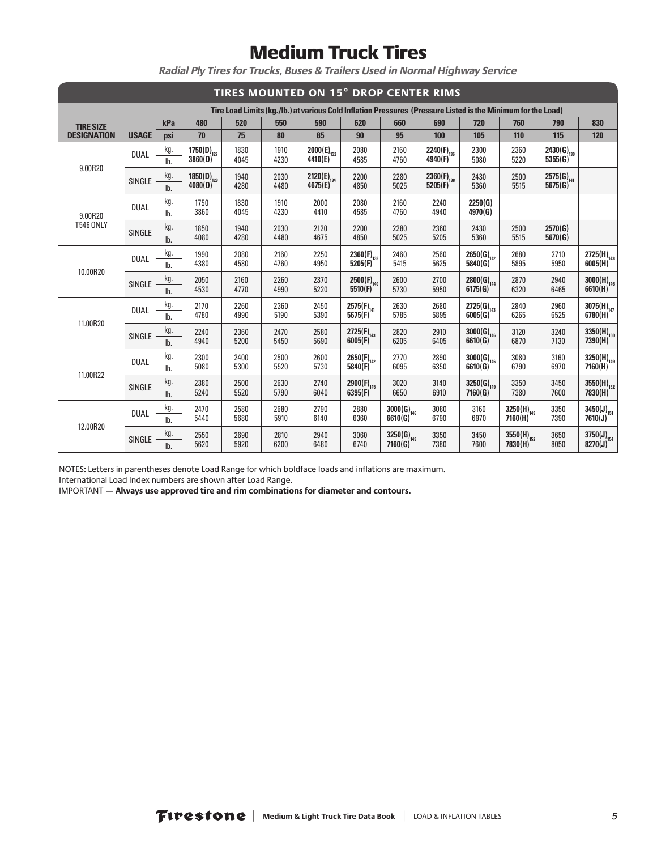|                    |              |            |                            |              |              | TIRES MOUNTED ON 15° DROP CENTER RIMS                                                                        |                            |                            |                            |                            |                            |                            |                                   |
|--------------------|--------------|------------|----------------------------|--------------|--------------|--------------------------------------------------------------------------------------------------------------|----------------------------|----------------------------|----------------------------|----------------------------|----------------------------|----------------------------|-----------------------------------|
|                    |              |            |                            |              |              | Tire Load Limits (kg./lb.) at various Cold Inflation Pressures (Pressure Listed is the Minimum for the Load) |                            |                            |                            |                            |                            |                            |                                   |
| <b>TIRE SIZE</b>   |              | kPa        | 480                        | 520          | 550          | 590                                                                                                          | 620                        | 660                        | 690                        | 720                        | 760                        | 790                        | 830                               |
| <b>DESIGNATION</b> | <b>USAGE</b> | psi        | 70                         | 75           | 80           | 85                                                                                                           | 90                         | 95                         | 100                        | 105                        | 110                        | 115                        | 120                               |
|                    | <b>DUAL</b>  | kg.<br>lb. | $1750(D)_{127}$<br>3860(D) | 1830<br>4045 | 1910<br>4230 | $2000(E)_{132}$<br>4410(E)                                                                                   | 2080<br>4585               | 2160<br>4760               | $2240(F)_{136}$<br>4940(F) | 2300<br>5080               | 2360<br>5220               | $2430(G)_{139}$<br>5355(G) |                                   |
| 9.00R20            | SINGLE       | kg.<br>lb. | $1850(D)_{129}$<br>4080(D) | 1940<br>4280 | 2030<br>4480 | $2120(E)_{134}$<br>4675(E)                                                                                   | 2200<br>4850               | 2280<br>5025               | $2360(F)_{138}$<br>5205(F) | 2430<br>5360               | 2500<br>5515               | $2575(G)_{141}$<br>5675(G) |                                   |
| 9.00R20            | <b>DUAL</b>  | kg.<br>lb. | 1750<br>3860               | 1830<br>4045 | 1910<br>4230 | 2000<br>4410                                                                                                 | 2080<br>4585               | 2160<br>4760               | 2240<br>4940               | 2250(G)<br>4970(G)         |                            |                            |                                   |
| <b>T546 ONLY</b>   | SINGLE       | kg.<br>lb. | 1850<br>4080               | 1940<br>4280 | 2030<br>4480 | 2120<br>4675                                                                                                 | 2200<br>4850               | 2280<br>5025               | 2360<br>5205               | 2430<br>5360               | 2500<br>5515               | 2570(G)<br>5670(G)         |                                   |
| 10.00R20           | <b>DUAL</b>  | kg.<br>lb. | 1990<br>4380               | 2080<br>4580 | 2160<br>4760 | 2250<br>4950                                                                                                 | $2360(F)_{138}$<br>5205(F) | 2460<br>5415               | 2560<br>5625               | $2650(G)_{142}$<br>5840(G) | 2680<br>5895               | 2710<br>5950               | $2725(H)_{143}$<br>6005(H)        |
|                    | SINGLE       | kg.<br>lb. | 2050<br>4530               | 2160<br>4770 | 2260<br>4990 | 2370<br>5220                                                                                                 | $2500(F)_{140}$<br>5510(F) | 2600<br>5730               | 2700<br>5950               | $2800(G)_{144}$<br>6175(G) | 2870<br>6320               | 2940<br>6465               | $3000(H)_{146}$<br>6610(H)        |
| 11.00R20           | <b>DUAL</b>  | kg.<br>lb. | 2170<br>4780               | 2260<br>4990 | 2360<br>5190 | 2450<br>5390                                                                                                 | $2575(F)_{141}$<br>5675(F) | 2630<br>5785               | 2680<br>5895               | $2725(G)_{143}$<br>6005(G) | 2840<br>6265               | 2960<br>6525               | $3075(H)_{147}$<br>6780(H)        |
|                    | SINGLE       | kg.<br>lb. | 2240<br>4940               | 2360<br>5200 | 2470<br>5450 | 2580<br>5690                                                                                                 | $2725(F)_{143}$<br>6005(F) | 2820<br>6205               | 2910<br>6405               | $3000(G)_{146}$<br>6610(G) | 3120<br>6870               | 3240<br>7130               | $3350(H)_{150}$<br>7390(H)        |
| 11.00R22           | <b>DUAL</b>  | kg.<br>lb. | 2300<br>5080               | 2400<br>5300 | 2500<br>5520 | 2600<br>5730                                                                                                 | $2650(F)_{142}$<br>5840(F) | 2770<br>6095               | 2890<br>6350               | $3000(G)_{146}$<br>6610(G) | 3080<br>6790               | 3160<br>6970               | $3250(H)_{149}$<br>7160(H)        |
|                    | SINGLE       | kg.<br>lb. | 2380<br>5240               | 2500<br>5520 | 2630<br>5790 | 2740<br>6040                                                                                                 | $2900(F)_{145}$<br>6395(F) | 3020<br>6650               | 3140<br>6910               | $3250(G)_{149}$<br>7160(G) | 3350<br>7380               | 3450<br>7600               | $3550(H)_{152}$<br>7830(H)        |
| 12.00R20           | <b>DUAL</b>  | kg.<br>lb. | 2470<br>5440               | 2580<br>5680 | 2680<br>5910 | 2790<br>6140                                                                                                 | 2880<br>6360               | $3000(G)_{146}$<br>6610(G) | 3080<br>6790               | 3160<br>6970               | $3250(H)_{149}$<br>7160(H) | 3350<br>7390               | $3450(J)_{151}$<br>7610(J)        |
|                    | SINGLE       | kg.<br>lb. | 2550<br>5620               | 2690<br>5920 | 2810<br>6200 | 2940<br>6480                                                                                                 | 3060<br>6740               | $3250(G)_{149}$<br>7160(G) | 3350<br>7380               | 3450<br>7600               | $3550(H)_{152}$<br>7830(H) | 3650<br>8050               | $3750(J)_{154}$<br>$8270(J)^{21}$ |

*Radial Ply Tires for Trucks, Buses & Trailers Used in Normal Highway Service*

NOTES: Letters in parentheses denote Load Range for which boldface loads and inflations are maximum.

International Load Index numbers are shown after Load Range.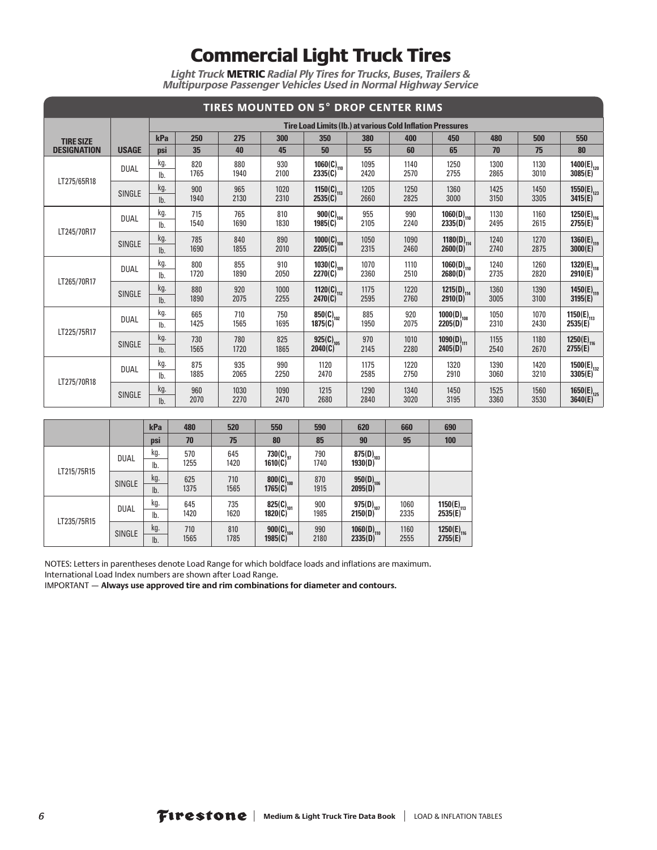*Light Truck* METRIC *Radial Ply Tires for Trucks, Buses, Trailers & Multipurpose Passenger Vehicles Used in Normal Highway Service*

|                    |               |                       |             |              |              | <b>TIRES MOUNTED ON 5° DROP CENTER RIMS</b>                       |              |              |                                   |              |              |                                   |
|--------------------|---------------|-----------------------|-------------|--------------|--------------|-------------------------------------------------------------------|--------------|--------------|-----------------------------------|--------------|--------------|-----------------------------------|
|                    |               |                       |             |              |              | <b>Tire Load Limits (Ib.) at various Cold Inflation Pressures</b> |              |              |                                   |              |              |                                   |
| <b>TIRE SIZE</b>   |               | kPa                   | 250         | 275          | 300          | 350                                                               | 380          | 400          | 450                               | 480          | 500          | 550                               |
| <b>DESIGNATION</b> | <b>USAGE</b>  | psi                   | 35          | 40           | 45           | 50                                                                | 55           | 60           | 65                                | 70           | 75           | 80                                |
|                    | <b>DUAL</b>   | kg.<br>lb.            | 820<br>1765 | 880<br>1940  | 930<br>2100  | $1060(C)_{110}$<br>2335(C)                                        | 1095<br>2420 | 1140<br>2570 | 1250<br>2755                      | 1300<br>2865 | 1130<br>3010 | $1400(E)_{120}$<br>3085(E)        |
| LT275/65R18        | <b>SINGLE</b> | kg.<br>I <sub>b</sub> | 900<br>1940 | 965<br>2130  | 1020<br>2310 | 1150(C) <sub>113</sub><br>2535(C)                                 | 1205<br>2660 | 1250<br>2825 | 1360<br>3000                      | 1425<br>3150 | 1450<br>3305 | 1550 $(E)_{123}$<br>3415(E)       |
|                    | <b>DUAL</b>   | kg.<br>lb.            | 715<br>1540 | 765<br>1690  | 810<br>1830  | $900(C)_{104}$<br>1985(C)                                         | 955<br>2105  | 990<br>2240  | $1060(D)_{110}$<br>2335(D)        | 1130<br>2495 | 1160<br>2615 | $1250(E)_{116}$<br>2755(E)        |
| LT245/70R17        | <b>SINGLE</b> | kg.<br>lb.            | 785<br>1690 | 840<br>1855  | 890<br>2010  | 1000(C) $_{108}$<br>2205(C)                                       | 1050<br>2315 | 1090<br>2460 | 1180(D) <sub>114</sub><br>2600(D) | 1240<br>2740 | 1270<br>2875 | $1360(E)_{119}$<br>3000(E)        |
|                    | <b>DUAL</b>   | kg.<br>lb.            | 800<br>1720 | 855<br>1890  | 910<br>2050  | $1030(C)_{109}$<br>2270(C)                                        | 1070<br>2360 | 1110<br>2510 | $1060(D)_{110}$<br>2680(D)        | 1240<br>2735 | 1260<br>2820 | $1320(E)_{118}$<br>2910(E)        |
| LT265/70R17        | <b>SINGLE</b> | kg.<br>lb.            | 880<br>1890 | 920<br>2075  | 1000<br>2255 | 1120(C) $_{112}$<br>2470(C)                                       | 1175<br>2595 | 1220<br>2760 | 1215(D) <sub>114</sub><br>2910(D) | 1360<br>3005 | 1390<br>3100 | $1450(E)_{119}$<br>3195(E)        |
| LT225/75R17        | <b>DUAL</b>   | kg.<br>lb.            | 665<br>1425 | 710<br>1565  | 750<br>1695  | 850(C) <sub>102</sub><br>1875(C)                                  | 885<br>1950  | 920<br>2075  | $1000(D)_{108}$<br>2205(D)        | 1050<br>2310 | 1070<br>2430 | 1150(E) <sub>113</sub><br>2535(E) |
|                    | <b>SINGLE</b> | kg.<br>lb.            | 730<br>1565 | 780<br>1720  | 825<br>1865  | 925(C) <sub>105</sub><br>2040(C)                                  | 970<br>2145  | 1010<br>2280 | $1090(D)_{111}$<br>2405(D)        | 1155<br>2540 | 1180<br>2670 | $1250(E)_{116}$<br>2755(E)        |
| LT275/70R18        | <b>DUAL</b>   | kg.<br>lb.            | 875<br>1885 | 935<br>2065  | 990<br>2250  | 1120<br>2470                                                      | 1175<br>2585 | 1220<br>2750 | 1320<br>2910                      | 1390<br>3060 | 1420<br>3210 | $1500(E)_{132}$<br>3305(E)        |
|                    | <b>SINGLE</b> | kg.<br>lb.            | 960<br>2070 | 1030<br>2270 | 1090<br>2470 | 1215<br>2680                                                      | 1290<br>2840 | 1340<br>3020 | 1450<br>3195                      | 1525<br>3360 | 1560<br>3530 | $1650(E)_{125}$<br>3640(E)        |

|             |               | kPa        | 480         | 520         | 550                              | 590         | 620                              | 660          | 690                               |
|-------------|---------------|------------|-------------|-------------|----------------------------------|-------------|----------------------------------|--------------|-----------------------------------|
|             |               | <b>psi</b> | 70          | 75          | 80                               | 85          | 90                               | 95           | 100                               |
|             | <b>DUAL</b>   | kg.<br>lb. | 570<br>1255 | 645<br>1420 | 730(C) $_{97}$<br>1610(C)        | 790<br>1740 | 875(D) <sub>103</sub><br>1930(D) |              |                                   |
| LT215/75R15 | <b>SINGLE</b> | kg.<br>lb. | 625<br>1375 | 710<br>1565 | $800(C)_{100}$<br>1765(C)        | 870<br>1915 | $950(D)_{106}$<br>2095(D)        |              |                                   |
|             | <b>DUAL</b>   | kg.<br>lb. | 645<br>1420 | 735<br>1620 | 825(C) <sub>101</sub><br>1820(C) | 900<br>1985 | $975(D)_{107}$<br>2150(D)        | 1060<br>2335 | 1150 $(E)_{113}$<br>2535(E)       |
| LT235/75R15 | <b>SINGLE</b> | kg.<br>lb. | 710<br>1565 | 810<br>1785 | $900(C)_{104}$<br>1985(C)        | 990<br>2180 | $1060(D)_{110}$<br>2335(D)       | 1160<br>2555 | 1250(E) <sub>116</sub><br>2755(E) |

NOTES: Letters in parentheses denote Load Range for which boldface loads and inflations are maximum. International Load Index numbers are shown after Load Range.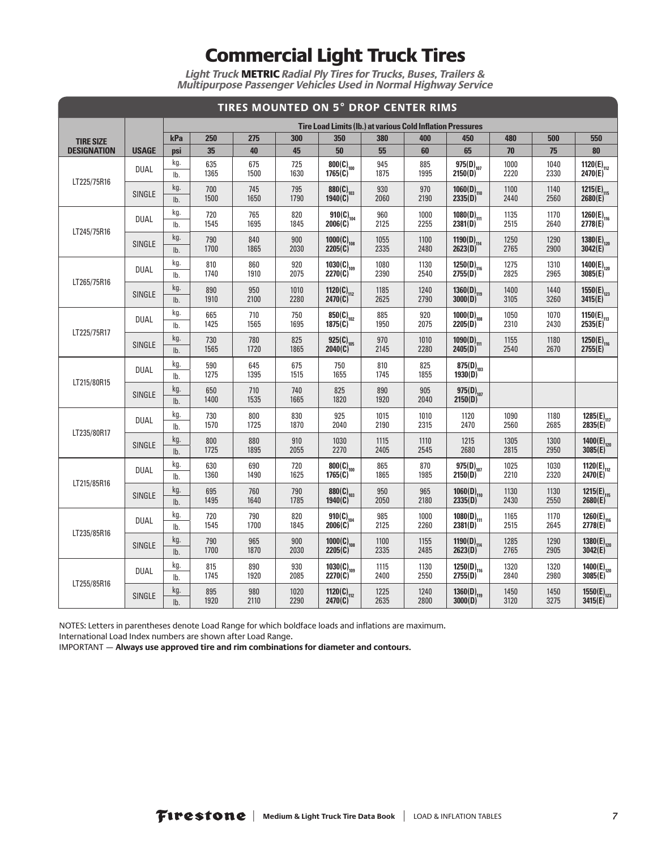*Light Truck* METRIC *Radial Ply Tires for Trucks, Buses, Trailers & Multipurpose Passenger Vehicles Used in Normal Highway Service*

|                                                                                                                                          |               |                       |             | TIRES MOUNTED ON 5° DROP CENTER RIMS |              |                                                                   |              |              |                                                  |              |                                                                                                                                              |                                                  |
|------------------------------------------------------------------------------------------------------------------------------------------|---------------|-----------------------|-------------|--------------------------------------|--------------|-------------------------------------------------------------------|--------------|--------------|--------------------------------------------------|--------------|----------------------------------------------------------------------------------------------------------------------------------------------|--------------------------------------------------|
|                                                                                                                                          |               |                       |             |                                      |              | <b>Tire Load Limits (Ib.) at various Cold Inflation Pressures</b> |              |              |                                                  |              |                                                                                                                                              |                                                  |
|                                                                                                                                          |               | kPa                   | 250         | 275                                  | 300          | 350                                                               | 380          | 400          | 450                                              | 480          | 500                                                                                                                                          | 550                                              |
| <b>DESIGNATION</b>                                                                                                                       | <b>USAGE</b>  | psi                   | 35          | 40                                   | 45           | 50                                                                | 55           | 60           | 65                                               | 70           | 75                                                                                                                                           | 80                                               |
|                                                                                                                                          | <b>DUAL</b>   | kg.<br>lb.            | 635<br>1365 | 675<br>1500                          | 725<br>1630  | $800(C)_{100}$<br>1765(C)                                         | 945<br>1875  | 885<br>1995  | 975(D) <sub>107</sub><br>2150(D)                 | 1000<br>2220 | 1040<br>2330                                                                                                                                 | 1120(E) <sub>112</sub><br>2470(E)                |
|                                                                                                                                          | <b>SINGLE</b> | kg.<br>lb.            | 700<br>1500 | 745<br>1650                          | 795<br>1790  | 880(C) <sub>103</sub><br>1940(C)                                  | 930<br>2060  | 970<br>2190  | $1060(D)_{110}$<br>2335(D)                       | 1100<br>2440 | 1140<br>2560                                                                                                                                 | $1215(E)_{115}$<br>2680(E)                       |
|                                                                                                                                          | <b>DUAL</b>   | kg.<br>lb.            | 720<br>1545 | 765<br>1695                          | 820<br>1845  | $\frac{910(C)}{2006(C)}$ <sup>104</sup>                           | 960<br>2125  | 1000<br>2255 | $\frac{1080(D)}{2381(D)}$ 111                    | 1135<br>2515 | 1170<br>2640                                                                                                                                 | 1260(E) <sub>116</sub><br>2778(E) <sup>116</sup> |
|                                                                                                                                          | <b>SINGLE</b> | kg.<br>lb.            | 790<br>1700 | 840<br>1865                          | 900<br>2030  | 1000(C) $_{108}$<br>2205(C)                                       | 1055<br>2335 | 1100<br>2480 | 1190(D) <sub>114</sub><br>2623(D)                | 1250<br>2765 | 1290<br>2900                                                                                                                                 | 1380(E) <sub>120</sub><br>3042(E)                |
|                                                                                                                                          | <b>DUAL</b>   | kg.<br>lb.            | 810<br>1740 | 860<br>1910                          | 920<br>2075  | $1030(C)_{109}$<br>2270(C)                                        | 1080<br>2390 | 1130<br>2540 | $1250(D)_{116}$<br>2755(D)                       | 1275<br>2825 | 1310<br>2965                                                                                                                                 | $1400(E)_{120}$<br>3085(E)                       |
|                                                                                                                                          | <b>SINGLE</b> | kg.<br>lb.            | 890<br>1910 | 950<br>2100                          | 1010<br>2280 | 1120(C) <sub>112</sub><br>2470(C)                                 | 1185<br>2625 | 1240<br>2790 | $1360(D)_{119}$<br>3000(D)                       | 1400<br>3105 | 1440<br>3260                                                                                                                                 | $1550(E)_{123}$<br>3415(E)                       |
| LT225/75R17                                                                                                                              | <b>DUAL</b>   | kg.<br>lb.            | 665<br>1425 | 710<br>1565                          | 750<br>1695  | 850(C) <sub>102</sub><br>1875(C)                                  | 885<br>1950  | 920<br>2075  | $1000(D)_{108}$<br>2205(D)                       | 1050<br>2310 | 1070<br>2430                                                                                                                                 | 1150(E) <sub>113</sub><br>2535(E)                |
|                                                                                                                                          | <b>SINGLE</b> | kg.<br>lb.            | 730<br>1565 | 780<br>1720                          | 825<br>1865  | $925(C)_{105}$<br>2040(C)                                         | 970<br>2145  | 1010<br>2280 | $1090(D)_{111}$<br>2405(D)                       | 1155<br>2540 | 1180<br>2670<br>1180<br>2685<br>1300<br>2950<br>1030<br>2320<br>1130<br>2550<br>1170<br>2645<br>1290<br>2905<br>1320<br>2980<br>1450<br>3275 | 1250(E) <sub>116</sub><br>2755(E)                |
|                                                                                                                                          | <b>DUAL</b>   | kg.<br>lb.            | 590<br>1275 | 645<br>1395                          | 675<br>1515  | 750<br>1655                                                       | 810<br>1745  | 825<br>1855  | 875(D) <sub>103</sub><br>1930(D)                 |              |                                                                                                                                              |                                                  |
|                                                                                                                                          | SINGLE        | kg.<br>I <sub>b</sub> | 650<br>1400 | 710<br>1535                          | 740<br>1665  | 825<br>1820                                                       | 890<br>1920  | 905<br>2040  | $975(D)_{107}$<br>2150(D)                        |              |                                                                                                                                              |                                                  |
|                                                                                                                                          | <b>DUAL</b>   | kg.<br>lb.            | 730<br>1570 | 800<br>1725                          | 830<br>1870  | 925<br>2040                                                       | 1015<br>2190 | 1010<br>2315 | 1120<br>2470                                     | 1090<br>2560 |                                                                                                                                              | 1285(E) <sub>117</sub><br>2835(E) <sup>117</sup> |
|                                                                                                                                          | <b>SINGLE</b> | kg.<br>lb.            | 800<br>1725 | 880<br>1895                          | 910<br>2055  | 1030<br>2270                                                      | 1115<br>2405 | 1110<br>2545 | 1215<br>2680                                     | 1305<br>2815 |                                                                                                                                              | $1400(E)_{120}$<br>3085(E)                       |
|                                                                                                                                          | <b>DUAL</b>   | kg.<br>lb.            | 630<br>1360 | 690<br>1490                          | 720<br>1625  | $\frac{800}{(C)}_{100}$                                           | 865<br>1865  | 870<br>1985  | $975(D)_{107}$<br>2150(D)                        | 1025<br>2210 |                                                                                                                                              | 1120(E) <sub>112</sub><br>2470(E)                |
|                                                                                                                                          | <b>SINGLE</b> | kg.<br>lb.            | 695<br>1495 | 760<br>1640                          | 790<br>1785  | 880(C) $_{103}$<br>1940(C)                                        | 950<br>2050  | 965<br>2180  | $1060(D)_{110}$<br>2335(D)                       | 1130<br>2430 |                                                                                                                                              | $1215(E)_{115}$<br>2680(E)                       |
|                                                                                                                                          | <b>DUAL</b>   | kg.<br>lb.            | 720<br>1545 | 790<br>1700                          | 820<br>1845  | 910(C) <sub>104</sub><br>2006(C)                                  | 985<br>2125  | 1000<br>2260 | $1080(D)_{111}$<br>2381(D)                       | 1165<br>2515 |                                                                                                                                              | $1260(E)_{116}$<br>2778(E)                       |
|                                                                                                                                          | <b>SINGLE</b> | kg.<br>lb.            | 790<br>1700 | 965<br>1870                          | 900<br>2030  | $1000(C)_{108}$<br>2205(C)                                        | 1100<br>2335 | 1155<br>2485 | 1190(D) <sub>114</sub><br>2623(D) <sup>114</sup> | 1285<br>2765 |                                                                                                                                              | 1380(E) <sub>120</sub><br>3042(E) <sup>120</sup> |
|                                                                                                                                          | <b>DUAL</b>   | kg.<br>lb.            | 815<br>1745 | 890<br>1920                          | 930<br>2085  | $1030(C)_{109}$<br>2270(C)                                        | 1115<br>2400 | 1130<br>2550 | $1250(D)_{116}$<br>2755(D)                       | 1320<br>2840 |                                                                                                                                              | $1400(E)_{120}$<br>3085(E)                       |
| <b>TIRE SIZE</b><br>LT225/75R16<br>LT245/75R16<br>LT265/75R16<br>LT215/80R15<br>LT235/80R17<br>LT215/85R16<br>LT235/85R16<br>LT255/85R16 | <b>SINGLE</b> | kg.<br>lb.            | 895<br>1920 | 980<br>2110                          | 1020<br>2290 | 1120(C) <sub>112</sub><br>2470(C)                                 | 1225<br>2635 | 1240<br>2800 | $1360(D)_{119}$<br>3000(D)                       | 1450<br>3120 |                                                                                                                                              | $1550(E)_{123}$<br>3415(E)                       |

NOTES: Letters in parentheses denote Load Range for which boldface loads and inflations are maximum.

International Load Index numbers are shown after Load Range.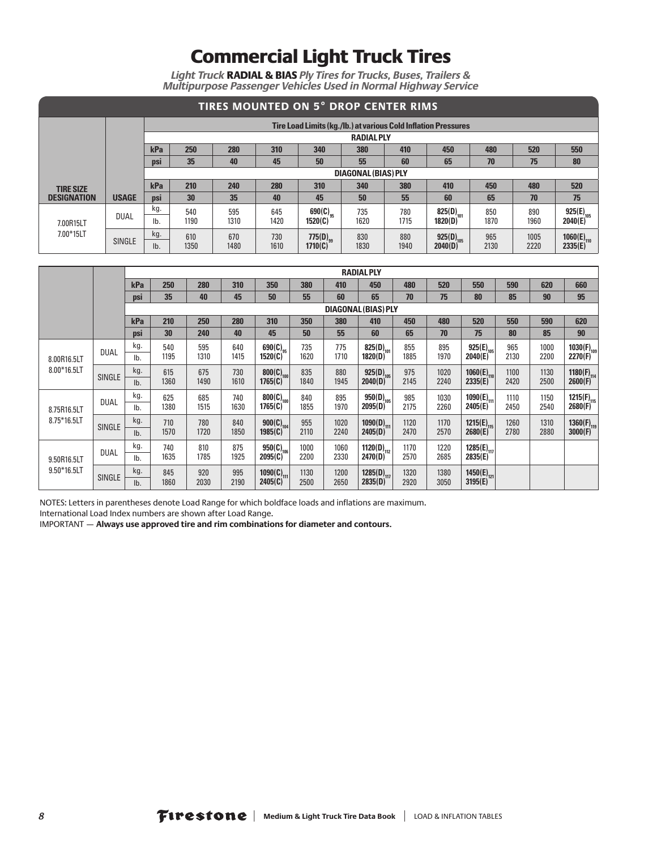*Light Truck* RADIAL & BIAS *Ply Tires for Trucks, Buses, Trailers & Multipurpose Passenger Vehicles Used in Normal Highway Service*

|                                                                 | <b>TIRES MOUNTED ON 5° DROP CENTER RIMS</b> |            |                     |      |      |                      |      |      |                                                                |      |      |                 |  |  |  |
|-----------------------------------------------------------------|---------------------------------------------|------------|---------------------|------|------|----------------------|------|------|----------------------------------------------------------------|------|------|-----------------|--|--|--|
|                                                                 |                                             |            |                     |      |      |                      |      |      | Tire Load Limits (kg./lb.) at various Cold Inflation Pressures |      |      |                 |  |  |  |
|                                                                 | <b>RADIAL PLY</b>                           |            |                     |      |      |                      |      |      |                                                                |      |      |                 |  |  |  |
|                                                                 |                                             | kPa        | 250                 | 280  | 310  | 340                  | 380  | 410  | 450                                                            | 480  | 520  | 550             |  |  |  |
| 35<br>55<br>50<br>65<br>75<br>80<br>60<br>70<br>40<br>45<br>psi |                                             |            |                     |      |      |                      |      |      |                                                                |      |      |                 |  |  |  |
|                                                                 |                                             |            | DIAGONAL (BIAS) PLY |      |      |                      |      |      |                                                                |      |      |                 |  |  |  |
| <b>TIRE SIZE</b>                                                |                                             | kPa        | 210                 | 240  | 280  | 310                  | 340  | 380  | 410                                                            | 450  | 480  | 520             |  |  |  |
| <b>DESIGNATION</b>                                              | <b>USAGE</b>                                | <b>DSI</b> | 30                  | 35   | 40   | 45                   | 50   | 55   | 60                                                             | 65   | 70   | 75              |  |  |  |
|                                                                 | <b>DUAL</b>                                 | kg.        | 540                 | 595  | 645  | 690(C) <sub>95</sub> | 735  | 780  | 825(D) <sub>101</sub>                                          | 850  | 890  | $925(E)_{105}$  |  |  |  |
| 7.00R15LT                                                       |                                             | lb.        | 1190                | 1310 | 1420 | 1520(C)              | 1620 | 1715 | 1820(D)                                                        | 1870 | 1960 | 2040(E)         |  |  |  |
| 7.00*15LT                                                       |                                             | kg.        | 610                 | 670  | 730  | $775(D)_{qq}$        | 830  | 880  | $925(D)_{105}$                                                 | 965  | 1005 | $1060(E)_{110}$ |  |  |  |
|                                                                 | <b>SINGLE</b>                               | Ib.        | 1350                | 1480 | 1610 | 1710(C)              | 1830 | 1940 | 2040(D)                                                        | 2130 | 2220 | 2335(E)         |  |  |  |

|                            |               |            | <b>RADIAL PLY</b> |             |             |                          |             |             |                                  |             |             |                            |             |              |                            |
|----------------------------|---------------|------------|-------------------|-------------|-------------|--------------------------|-------------|-------------|----------------------------------|-------------|-------------|----------------------------|-------------|--------------|----------------------------|
|                            |               | kPa        | 250               | 280         | 310         | 350                      | 380         | 410         | 450                              | 480         | 520         | 550                        | 590         | 620          | 660                        |
|                            |               | psi        | 35                | 40          | 45          | 50                       | 55          | 60          | 65                               | 70          | 75          | 80                         | 85          | 90           | 95                         |
|                            |               |            |                   |             |             |                          |             |             | DIAGONAL (BIAS) PLY              |             |             |                            |             |              |                            |
|                            |               | kPa        | 210               | 250         | 280         | 310                      | 350         | 380         | 410                              | 450         | 480         | 520                        | 550         | 590          | 620                        |
|                            |               | psi        | 30                | 240         | 40          | 45                       | 50          | 55          | 60                               | 65          | 70          | 75                         | 80          | 85           | 90                         |
| 8.00R16.5LT<br>8.00*16.5LT | <b>DUAL</b>   | kg.<br>lb. | 540<br>1195       | 595<br>1310 | 640<br>1415 | $690(C)_{q5}$<br>1520(C) | 735<br>1620 | 775<br>1710 | 825(D) <sub>101</sub><br>1820(D) | 855<br>1885 | 895<br>1970 | $925(E)_{105}$<br>2040(E)  | 965<br>2130 | 1000<br>2200 | $1030(F)_{109}$<br>2270(F) |
|                            | SINGLE        | kg.        | 615               | 675         | 730         | $800(C)_{100}$           | 835         | 880         | $925(D)_{105}$                   | 975         | 1020        | $1060(E)_{110}$            | 1100        | 1130         | $1180(F)_{114}$<br>2600(F) |
|                            |               | lb.        | 1360              | 1490        | 1610        | 1765(C)                  | 1840        | 1945        | 2040(D)                          | 2145        | 2240        | 2335(E)                    | 2420        | 2500         |                            |
|                            | <b>DUAL</b>   | kg.        | 625               | 685         | 740         | $800(C)_{100}$           | 840         | 895         | $950(D)_{105}$                   | 985         | 1030        | 1090(E) <sub>111</sub>     | 1110        | 1150         | 1215(F) <sub>115</sub>     |
| 8.75R16.5LT                |               | lb.        | 1380              | 1515        | 1630        | 1765(C)                  | 1855        | 1970        | 2095(D)                          | 2175        | 2260        | 2405(E)                    | 2450        | 2540         | 2680(F)                    |
| 8.75*16.5LT                | <b>SINGLE</b> | kg.        | 710               | 780         | 840         | $900(C)_{104}$           | 955         | 1020        | $1090(D)_{111}$                  | 1120        | 1170        | $1215(E)_{115}$<br>2680(E) | 1260        | 1310         | $1360(F)_{119}$<br>3000(F) |
|                            |               | lb.        | 1570              | 1720        | 1850        | 1985(C)                  | 2110        | 2240        | 2405(D)                          | 2470        | 2570        |                            | 2780        | 2880         |                            |
|                            | <b>DUAL</b>   | kg.        | 740               | 810         | 875         | $950(C)_{106}$           | 1000        | 1060        | 1120(D) <sub>112</sub>           | 1170        | 1220        | 1285(E) <sub>117</sub>     |             |              |                            |
| 9.50R16.5LT                |               | lb.        | 1635              | 1785        | 1925        | 2095(C)                  | 2200        | 2330        | 2470(D)                          | 2570        | 2685        | 2835(E)                    |             |              |                            |
| $9.50*16.5LT$              |               | kg.        | 845               | 920         | 995         | 1090(C) $_{111}$         | 1130        | 1200        | 1285(D) <sub>117</sub>           | 1320        | 1380        | 1450(E) <sub>121</sub>     |             |              |                            |
|                            | SINGLE        | lb.        | 1860              | 2030        | 2190        | 2405(C)                  | 2500        | 2650        | 2835(D)                          | 2920        | 3050        | 3195(E)                    |             |              |                            |

NOTES: Letters in parentheses denote Load Range for which boldface loads and inflations are maximum.

International Load Index numbers are shown after Load Range.